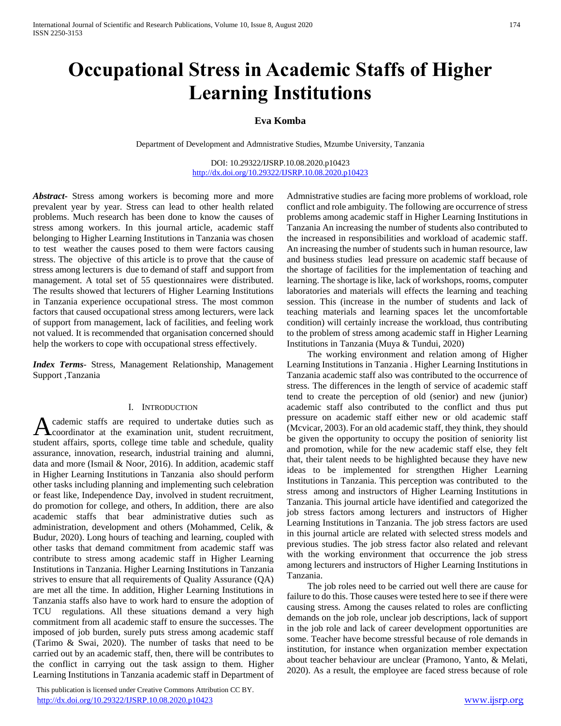# **Occupational Stress in Academic Staffs of Higher Learning Institutions**

## **Eva Komba**

Department of Development and Admnistrative Studies, Mzumbe University, Tanzania

DOI: 10.29322/IJSRP.10.08.2020.p10423 <http://dx.doi.org/10.29322/IJSRP.10.08.2020.p10423>

*Abstract***-** Stress among workers is becoming more and more prevalent year by year. Stress can lead to other health related problems. Much research has been done to know the causes of stress among workers. In this journal article, academic staff belonging to Higher Learning Institutions in Tanzania was chosen to test weather the causes posed to them were factors causing stress. The objective of this article is to prove that the cause of stress among lecturers is due to demand of staff and support from management. A total set of 55 questionnaires were distributed. The results showed that lecturers of Higher Learning Institutions in Tanzania experience occupational stress. The most common factors that caused occupational stress among lecturers, were lack of support from management, lack of facilities, and feeling work not valued. It is recommended that organisation concerned should help the workers to cope with occupational stress effectively.

*Index Terms*- Stress, Management Relationship, Management Support ,Tanzania

#### I. INTRODUCTION

cademic staffs are required to undertake duties such as coordinator at the examination unit, student recruitment, student affairs, sports, college time table and schedule, quality assurance, innovation, research, industrial training and alumni, data and more (Ismail & Noor, 2016). In addition, academic staff in Higher Learning Institutions in Tanzania also should perform other tasks including planning and implementing such celebration or feast like, Independence Day, involved in student recruitment, do promotion for college, and others, In addition, there are also academic staffs that bear administrative duties such as administration, development and others (Mohammed, Celik, & Budur, 2020). Long hours of teaching and learning, coupled with other tasks that demand commitment from academic staff was contribute to stress among academic staff in Higher Learning Institutions in Tanzania. Higher Learning Institutions in Tanzania strives to ensure that all requirements of Quality Assurance (QA) are met all the time. In addition, Higher Learning Institutions in Tanzania staffs also have to work hard to ensure the adoption of TCU regulations. All these situations demand a very high commitment from all academic staff to ensure the successes. The imposed of job burden, surely puts stress among academic staff (Tarimo & Swai, 2020). The number of tasks that need to be carried out by an academic staff, then, there will be contributes to the conflict in carrying out the task assign to them. Higher Learning Institutions in Tanzania academic staff in Department of A

 This publication is licensed under Creative Commons Attribution CC BY. <http://dx.doi.org/10.29322/IJSRP.10.08.2020.p10423> [www.ijsrp.org](http://ijsrp.org/)

Admnistrative studies are facing more problems of workload, role conflict and role ambiguity. The following are occurrence of stress problems among academic staff in Higher Learning Institutions in Tanzania An increasing the number of students also contributed to the increased in responsibilities and workload of academic staff. An increasing the number of students such in human resource, law and business studies lead pressure on academic staff because of the shortage of facilities for the implementation of teaching and learning. The shortage is like, lack of workshops, rooms, computer laboratories and materials will effects the learning and teaching session. This (increase in the number of students and lack of teaching materials and learning spaces let the uncomfortable condition) will certainly increase the workload, thus contributing to the problem of stress among academic staff in Higher Learning Institutions in Tanzania (Muya & Tundui, 2020)

 The working environment and relation among of Higher Learning Institutions in Tanzania . Higher Learning Institutions in Tanzania academic staff also was contributed to the occurrence of stress. The differences in the length of service of academic staff tend to create the perception of old (senior) and new (junior) academic staff also contributed to the conflict and thus put pressure on academic staff either new or old academic staff (Mcvicar, 2003). For an old academic staff, they think, they should be given the opportunity to occupy the position of seniority list and promotion, while for the new academic staff else, they felt that, their talent needs to be highlighted because they have new ideas to be implemented for strengthen Higher Learning Institutions in Tanzania. This perception was contributed to the stress among and instructors of Higher Learning Institutions in Tanzania. This journal article have identified and categorized the job stress factors among lecturers and instructors of Higher Learning Institutions in Tanzania. The job stress factors are used in this journal article are related with selected stress models and previous studies. The job stress factor also related and relevant with the working environment that occurrence the job stress among lecturers and instructors of Higher Learning Institutions in Tanzania.

 The job roles need to be carried out well there are cause for failure to do this. Those causes were tested here to see if there were causing stress. Among the causes related to roles are conflicting demands on the job role, unclear job descriptions, lack of support in the job role and lack of career development opportunities are some. Teacher have become stressful because of role demands in institution, for instance when organization member expectation about teacher behaviour are unclear (Pramono, Yanto, & Melati, 2020). As a result, the employee are faced stress because of role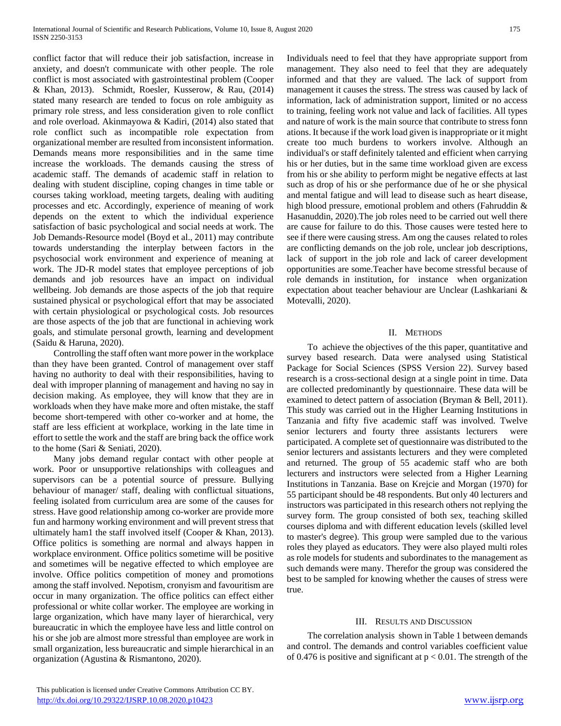conflict factor that will reduce their job satisfaction, increase in anxiety, and doesn't communicate with other people. The role conflict is most associated with gastrointestinal problem (Cooper & Khan, 2013). Schmidt, Roesler, Kusserow, & Rau, (2014) stated many research are tended to focus on role ambiguity as primary role stress, and less consideration given to role conflict and role overload. Akinmayowa & Kadiri, (2014) also stated that role conflict such as incompatible role expectation from organizational member are resulted from inconsistent information. Demands means more responsibilities and in the same time increase the workloads. The demands causing the stress of academic staff. The demands of academic staff in relation to dealing with student discipline, coping changes in time table or courses taking workload, meeting targets, dealing with auditing processes and etc. Accordingly, experience of meaning of work depends on the extent to which the individual experience satisfaction of basic psychological and social needs at work. The Job Demands-Resource model (Boyd et al., 2011) may contribute towards understanding the interplay between factors in the psychosocial work environment and experience of meaning at work. The JD-R model states that employee perceptions of job demands and job resources have an impact on individual wellbeing. Job demands are those aspects of the job that require sustained physical or psychological effort that may be associated with certain physiological or psychological costs. Job resources are those aspects of the job that are functional in achieving work goals, and stimulate personal growth, learning and development (Saidu & Haruna, 2020).

 Controlling the staff often want more power in the workplace than they have been granted. Control of management over staff having no authority to deal with their responsibilities, having to deal with improper planning of management and having no say in decision making. As employee, they will know that they are in workloads when they have make more and often mistake, the staff become short-tempered with other co-worker and at home, the staff are less efficient at workplace, working in the late time in effort to settle the work and the staff are bring back the office work to the home (Sari & Seniati, 2020).

 Many jobs demand regular contact with other people at work. Poor or unsupportive relationships with colleagues and supervisors can be a potential source of pressure. Bullying behaviour of manager/ staff, dealing with conflictual situations, feeling isolated from curriculum area are some of the causes for stress. Have good relationship among co-worker are provide more fun and harmony working environment and will prevent stress that ultimately ham1 the staff involved itself (Cooper & Khan, 2013). Office politics is something are normal and always happen in workplace environment. Office politics sometime will be positive and sometimes will be negative effected to which employee are involve. Office politics competition of money and promotions among the staff involved. Nepotism, cronyism and favouritism are occur in many organization. The office politics can effect either professional or white collar worker. The employee are working in large organization, which have many layer of hierarchical, very bureaucratic in which the employee have less and little control on his or she job are almost more stressful than employee are work in small organization, less bureaucratic and simple hierarchical in an organization (Agustina & Rismantono, 2020).

Individuals need to feel that they have appropriate support from management. They also need to feel that they are adequately informed and that they are valued. The lack of support from management it causes the stress. The stress was caused by lack of information, lack of administration support, limited or no access to training, feeling work not value and lack of facilities. All types and nature of work is the main source that contribute to stress fonn ations. It because if the work load given is inappropriate or it might create too much burdens to workers involve. Although an individual's or staff definitely talented and efficient when carrying his or her duties, but in the same time workload given are excess from his or she ability to perform might be negative effects at last such as drop of his or she performance due of he or she physical and mental fatigue and will lead to disease such as heart disease, high blood pressure, emotional problem and others (Fahruddin & Hasanuddin, 2020).The job roles need to be carried out well there are cause for failure to do this. Those causes were tested here to see if there were causing stress. Am ong the causes related to roles are conflicting demands on the job role, unclear job descriptions, lack of support in the job role and lack of career development opportunities are some.Teacher have become stressful because of role demands in institution, for instance when organization expectation about teacher behaviour are Unclear (Lashkariani & Motevalli, 2020).

## II. METHODS

 To achieve the objectives of the this paper, quantitative and survey based research. Data were analysed using Statistical Package for Social Sciences (SPSS Version 22). Survey based research is a cross-sectional design at a single point in time. Data are collected predominantly by questionnaire. These data will be examined to detect pattern of association (Bryman & Bell, 2011). This study was carried out in the Higher Learning Institutions in Tanzania and fifty five academic staff was involved. Twelve senior lecturers and fourty three assistants lecturers were participated. A complete set of questionnaire was distributed to the senior lecturers and assistants lecturers and they were completed and returned. The group of 55 academic staff who are both lecturers and instructors were selected from a Higher Learning Institutions in Tanzania. Base on Krejcie and Morgan (1970) for 55 participant should be 48 respondents. But only 40 lecturers and instructors was participated in this research others not replying the survey form. The group consisted of both sex, teaching skilled courses diploma and with different education levels (skilled level to master's degree). This group were sampled due to the various roles they played as educators. They were also played multi roles as role models for students and subordinates to the management as such demands were many. Therefor the group was considered the best to be sampled for knowing whether the causes of stress were true.

## III. RESULTS AND DISCUSSION

 The correlation analysis shown in Table 1 between demands and control. The demands and control variables coefficient value of 0.476 is positive and significant at  $p < 0.01$ . The strength of the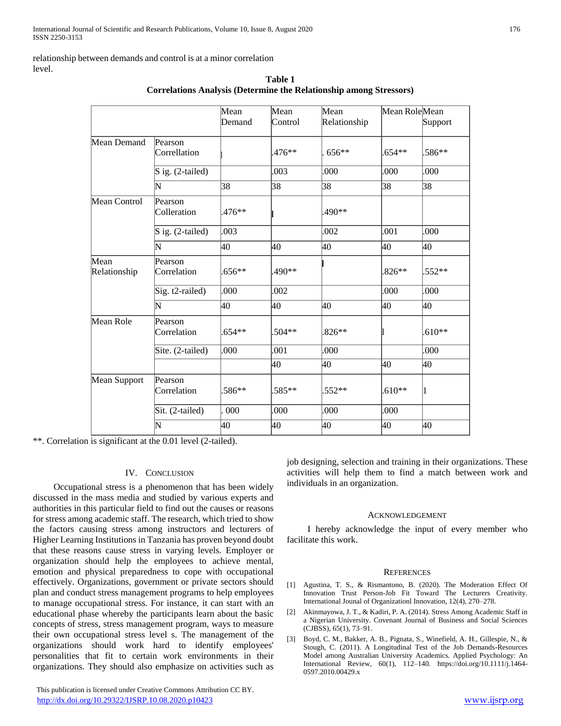relationship between demands and control is at a minor correlation level.

|                      |                         | Mean<br>Demand | Mean<br>Control | Mean<br>Relationship | Mean RoleMean |          |
|----------------------|-------------------------|----------------|-----------------|----------------------|---------------|----------|
|                      |                         |                |                 |                      |               | Support  |
| Mean Demand          | Pearson<br>Correllation |                | $.476**$        | 656**                | $.654**$      | .586**   |
|                      | $S$ ig. (2-tailed)      |                | .003            | .000                 | .000          | .000     |
|                      | N                       | 38             | 38              | 38                   | 38            | 38       |
| Mean Control         | Pearson<br>Colleration  | .476**         |                 | 490**                |               |          |
|                      | S ig. (2-tailed)        | .003           |                 | .002                 | .001          | .000     |
|                      | N                       | 40             | 40              | 40                   | 40            | 40       |
| Mean<br>Relationship | Pearson<br>Correlation  | $.656**$       | .490**          |                      | $.826**$      | .552**   |
|                      | Sig. t2-railed)         | .000           | .002            |                      | .000          | .000     |
|                      | N                       | 40             | 40              | 40                   | 40            | 40       |
| Mean Role            | Pearson<br>Correlation  | $.654**$       | .504**          | $.826**$             |               | $.610**$ |
|                      | Site. (2-tailed)        | .000           | .001            | .000                 |               | .000     |
|                      |                         |                | 40              | 40                   | 40            | 40       |
| Mean Support         | Pearson<br>Correlation  | .586**         | .585**          | .552**               | $.610**$      | 1        |
|                      | Sit. (2-tailed)         | 000            | .000            | .000                 | .000          |          |
|                      | N                       | 40             | 40              | 40                   | 40            | 40       |

**Table 1 Correlations Analysis (Determine the Relationship among Stressors)**

\*\*. Correlation is significant at the 0.01 level (2-tailed).

#### IV. CONCLUSION

 Occupational stress is a phenomenon that has been widely discussed in the mass media and studied by various experts and authorities in this particular field to find out the causes or reasons for stress among academic staff. The research, which tried to show the factors causing stress among instructors and lecturers of Higher Learning Institutions in Tanzania has proven beyond doubt that these reasons cause stress in varying levels. Employer or organization should help the employees to achieve mental, emotion and physical preparedness to cope with occupational effectively. Organizations, government or private sectors should plan and conduct stress management programs to help employees to manage occupational stress. For instance, it can start with an educational phase whereby the participants learn about the basic concepts of stress, stress management program, ways to measure their own occupational stress level s. The management of the organizations should work hard to identify employees' personalities that fit to certain work environments in their organizations. They should also emphasize on activities such as

 This publication is licensed under Creative Commons Attribution CC BY. <http://dx.doi.org/10.29322/IJSRP.10.08.2020.p10423> [www.ijsrp.org](http://ijsrp.org/)

job designing, selection and training in their organizations. These activities will help them to find a match between work and individuals in an organization.

#### ACKNOWLEDGEMENT

 I hereby acknowledge the input of every member who facilitate this work.

#### **REFERENCES**

- [1] Agustina, T. S., & Rismantono, B. (2020). The Moderation Effect Of Innovation Trust Person-Job Fit Toward The Lecturers Creativity. International Jounal of Organizationl Innovation, 12(4), 270–278.
- [2] Akinmayowa, J. T., & Kadiri, P. A. (2014). Stress Among Academic Staff in a Nigerian University. Covenant Journal of Business and Social Sciences (CJBSS), 65(1), 73–91.
- [3] Boyd, C. M., Bakker, A. B., Pignata, S., Winefield, A. H., Gillespie, N., & Stough, C. (2011). A Longitudinal Test of the Job Demands-Resources Model among Australian University Academics. Applied Psychology: An International Review, 60(1), 112–140. https://doi.org/10.1111/j.1464- 0597.2010.00429.x